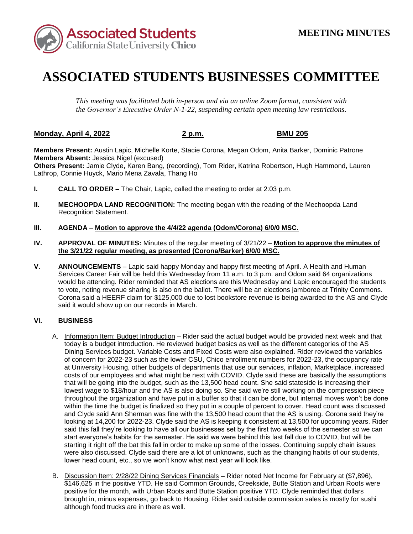

## **ASSOCIATED STUDENTS BUSINESSES COMMITTEE**

*This meeting was facilitated both in-person and via an online Zoom format, consistent with the Governor's Executive Order N-1-22, suspending certain open meeting law restrictions.* 

## **Monday, April 4, 2022 2 p.m. BMU 205**

**Members Present:** Austin Lapic, Michelle Korte, Stacie Corona, Megan Odom, Anita Barker, Dominic Patrone **Members Absent:** Jessica Nigel (excused)

**Others Present:** Jamie Clyde, Karen Bang, (recording), Tom Rider, Katrina Robertson, Hugh Hammond, Lauren Lathrop, Connie Huyck, Mario Mena Zavala, Thang Ho

- **I. CALL TO ORDER –** The Chair, Lapic, called the meeting to order at 2:03 p.m.
- **II. MECHOOPDA LAND RECOGNITION:** The meeting began with the reading of the Mechoopda Land Recognition Statement.
- **III. AGENDA Motion to approve the 4/4/22 agenda (Odom/Corona) 6/0/0 MSC.**
- **IV. APPROVAL OF MINUTES:** Minutes of the regular meeting of 3/21/22 **Motion to approve the minutes of the 3/21/22 regular meeting, as presented (Corona/Barker) 6/0/0 MSC.**
- to vote, noting revenue sharing is also on the ballot. There will be an elections jamboree at Trinity Commons. said it would show up on our records in March. **V. ANNOUNCEMENTS** – Lapic said happy Monday and happy first meeting of April. A Health and Human Services Career Fair will be held this Wednesday from 11 a.m. to 3 p.m. and Odom said 64 organizations would be attending. Rider reminded that AS elections are this Wednesday and Lapic encouraged the students Corona said a HEERF claim for \$125,000 due to lost bookstore revenue is being awarded to the AS and Clyde

## **VI. BUSINESS**

- A. Information Item: Budget Introduction Rider said the actual budget would be provided next week and that that will be going into the budget, such as the 13,500 head count. She said stateside is increasing their and Clyde said Ann Sherman was fine with the 13,500 head count that the AS is using. Corona said they're said this fall they're looking to have all our businesses set by the first two weeks of the semester so we can start everyone's habits for the semester. He said we were behind this last fall due to COVID, but will be lower head count, etc., so we won't know what next year will look like. today is a budget introduction. He reviewed budget basics as well as the different categories of the AS Dining Services budget. Variable Costs and Fixed Costs were also explained. Rider reviewed the variables of concern for 2022-23 such as the lower CSU, Chico enrollment numbers for 2022-23, the occupancy rate at University Housing, other budgets of departments that use our services, inflation, Marketplace, increased costs of our employees and what might be next with COVID. Clyde said these are basically the assumptions lowest wage to \$18/hour and the AS is also doing so. She said we're still working on the compression piece throughout the organization and have put in a buffer so that it can be done, but internal moves won't be done within the time the budget is finalized so they put in a couple of percent to cover. Head count was discussed looking at 14,200 for 2022-23. Clyde said the AS is keeping it consistent at 13,500 for upcoming years. Rider starting it right off the bat this fall in order to make up some of the losses. Continuing supply chain issues were also discussed. Clyde said there are a lot of unknowns, such as the changing habits of our students,
- B. Discussion Item: 2/28/22 Dining Services Financials Rider noted Net Income for February at (\$7,896), \$146,625 in the positive YTD. He said Common Grounds, Creekside, Butte Station and Urban Roots were positive for the month, with Urban Roots and Butte Station positive YTD. Clyde reminded that dollars brought in, minus expenses, go back to Housing. Rider said outside commission sales is mostly for sushi although food trucks are in there as well.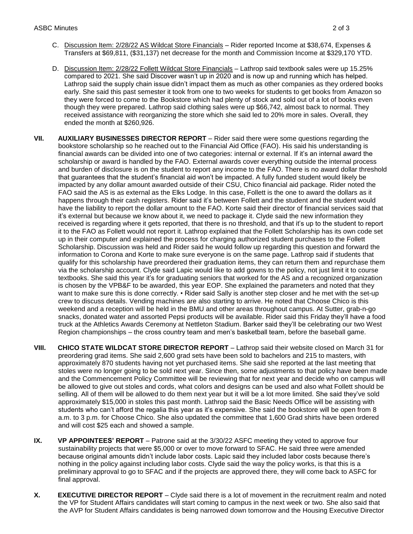- C. Discussion Item: 2/28/22 AS Wildcat Store Financials Rider reported Income at \$38,674, Expenses & Transfers at \$69,811, (\$31,137) net decrease for the month and Commission Income at \$329,170 YTD.
- D. Discussion Item: 2/28/22 Follett Wildcat Store Financials Lathrop said textbook sales were up 15.25% they were forced to come to the Bookstore which had plenty of stock and sold out of a lot of books even compared to 2021. She said Discover wasn't up in 2020 and is now up and running which has helped. Lathrop said the supply chain issue didn't impact them as much as other companies as they ordered books early. She said this past semester it took from one to two weeks for students to get books from Amazon so though they were prepared. Lathrop said clothing sales were up \$66,742, almost back to normal. They received assistance with reorganizing the store which she said led to 20% more in sales. Overall, they ended the month at \$260,926.
- financial awards can be divided into one of two categories: internal or external. If it's an internal award the scholarship or award is handled by the FAO. External awards cover everything outside the internal process impacted by any dollar amount awarded outside of their CSU, Chico financial aid package. Rider noted the it's external but because we know about it, we need to package it. Clyde said the new information they received is regarding where it gets reported, that there is no threshold, and that it's up to the student to report it to the FAO as Follett would not report it. Lathrop explained that the Follett Scholarship has its own code set is chosen by the VPB&F to be awarded, this year EOP. She explained the parameters and noted that they **VII. AUXILIARY BUSINESSES DIRECTOR REPORT** – Rider said there were some questions regarding the bookstore scholarship so he reached out to the Financial Aid Office (FAO). His said his understanding is and burden of disclosure is on the student to report any income to the FAO. There is no award dollar threshold that guarantees that the student's financial aid won't be impacted. A fully funded student would likely be FAO said the AS is as external as the Elks Lodge. In this case, Follett is the one to award the dollars as it happens through their cash registers. Rider said it's between Follett and the student and the student would have the liability to report the dollar amount to the FAO. Korte said their director of financial services said that up in their computer and explained the process for charging authorized student purchases to the Follett Scholarship. Discussion was held and Rider said he would follow up regarding this question and forward the information to Corona and Korte to make sure everyone is on the same page. Lathrop said if students that qualify for this scholarship have preordered their graduation items, they can return them and repurchase them via the scholarship account. Clyde said Lapic would like to add gowns to the policy, not just limit it to course textbooks. She said this year it's for graduating seniors that worked for the AS and a recognized organization want to make sure this is done correctly. • Rider said Sally is another step closer and he met with the set-up crew to discuss details. Vending machines are also starting to arrive. He noted that Choose Chico is this weekend and a reception will be held in the BMU and other areas throughout campus. At Sutter, grab-n-go snacks, donated water and assorted Pepsi products will be available. Rider said this Friday they'll have a food truck at the Athletics Awards Ceremony at Nettleton Stadium. Barker said they'll be celebrating our two West Region championships – the cross country team and men's basketball team, before the baseball game.
- preordering grad items. She said 2,600 grad sets have been sold to bachelors and 215 to masters, with be allowed to give out stoles and cords, what colors and designs can be used and also what Follett should be selling. All of them will be allowed to do them next year but it will be a lot more limited. She said they've sold students who can't afford the regalia this year as it's expensive. She said the bookstore will be open from 8 a.m. to 3 p.m. for Choose Chico. She also updated the committee that 1,600 Grad shirts have been ordered **VIII.** CHICO STATE WILDCAT STORE DIRECTOR REPORT – Lathrop said their website closed on March 31 for approximately 870 students having not yet purchased items. She said she reported at the last meeting that stoles were no longer going to be sold next year. Since then, some adjustments to that policy have been made and the Commencement Policy Committee will be reviewing that for next year and decide who on campus will approximately \$15,000 in stoles this past month. Lathrop said the Basic Needs Office will be assisting with and will cost \$25 each and showed a sample.
- sustainability projects that were \$5,000 or over to move forward to SFAC. He said three were amended because original amounts didn't include labor costs. Lapic said they included labor costs because there's **IX.** VP APPOINTEES' REPORT – Patrone said at the 3/30/22 ASFC meeting they voted to approve four nothing in the policy against including labor costs. Clyde said the way the policy works, is that this is a preliminary approval to go to SFAC and if the projects are approved there, they will come back to ASFC for final approval.
- **X.** EXECUTIVE DIRECTOR REPORT Clyde said there is a lot of movement in the recruitment realm and noted the VP for Student Affairs candidates will start coming to campus in the next week or two. She also said that the AVP for Student Affairs candidates is being narrowed down tomorrow and the Housing Executive Director